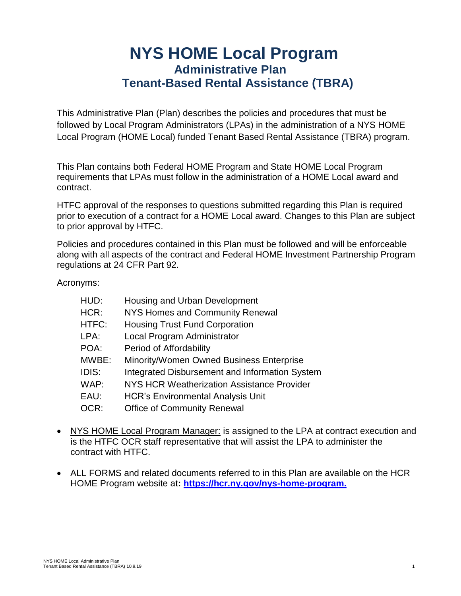# **NYS HOME Local Program Administrative Plan Tenant-Based Rental Assistance (TBRA)**

This Administrative Plan (Plan) describes the policies and procedures that must be followed by Local Program Administrators (LPAs) in the administration of a NYS HOME Local Program (HOME Local) funded Tenant Based Rental Assistance (TBRA) program.

This Plan contains both Federal HOME Program and State HOME Local Program requirements that LPAs must follow in the administration of a HOME Local award and contract.

HTFC approval of the responses to questions submitted regarding this Plan is required prior to execution of a contract for a HOME Local award. Changes to this Plan are subject to prior approval by HTFC.

Policies and procedures contained in this Plan must be followed and will be enforceable along with all aspects of the contract and Federal HOME Investment Partnership Program regulations at 24 CFR Part 92.

Acronyms:

| HUD:  | Housing and Urban Development                     |
|-------|---------------------------------------------------|
| HCR:  | NYS Homes and Community Renewal                   |
| HTFC: | <b>Housing Trust Fund Corporation</b>             |
| LPA:  | Local Program Administrator                       |
| POA:  | Period of Affordability                           |
| MWBE: | Minority/Women Owned Business Enterprise          |
| IDIS: | Integrated Disbursement and Information System    |
| WAP:  | <b>NYS HCR Weatherization Assistance Provider</b> |
| EAU:  | <b>HCR's Environmental Analysis Unit</b>          |
| OCR:  | <b>Office of Community Renewal</b>                |

- NYS HOME Local Program Manager: is assigned to the LPA at contract execution and is the HTFC OCR staff representative that will assist the LPA to administer the contract with HTFC.
- ALL FORMS and related documents referred to in this Plan are available on the HCR HOME Program website at**: https://hcr.ny.gov/nys-home-program.**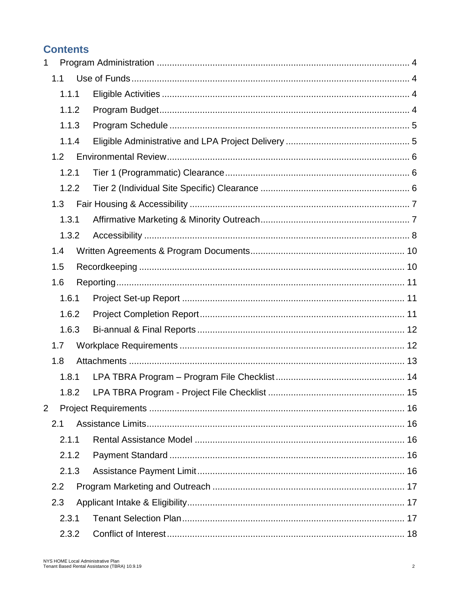# **Contents**

| $\mathbf 1$    |       |  |  |
|----------------|-------|--|--|
|                | 1.1   |  |  |
|                | 1.1.1 |  |  |
|                | 1.1.2 |  |  |
|                | 1.1.3 |  |  |
|                | 1.1.4 |  |  |
|                | 1.2   |  |  |
|                | 1.2.1 |  |  |
|                | 1.2.2 |  |  |
|                | 1.3   |  |  |
|                | 1.3.1 |  |  |
|                | 1.3.2 |  |  |
|                | 1.4   |  |  |
|                | 1.5   |  |  |
|                | 1.6   |  |  |
|                | 1.6.1 |  |  |
|                | 1.6.2 |  |  |
|                | 1.6.3 |  |  |
|                | 1.7   |  |  |
|                | 1.8   |  |  |
|                | 1.8.1 |  |  |
|                | 1.8.2 |  |  |
| $\overline{2}$ |       |  |  |
|                | 2.1   |  |  |
|                | 2.1.1 |  |  |
|                | 2.1.2 |  |  |
|                | 2.1.3 |  |  |
|                | 2.2   |  |  |
|                | 2.3   |  |  |
|                | 2.3.1 |  |  |
|                | 2.3.2 |  |  |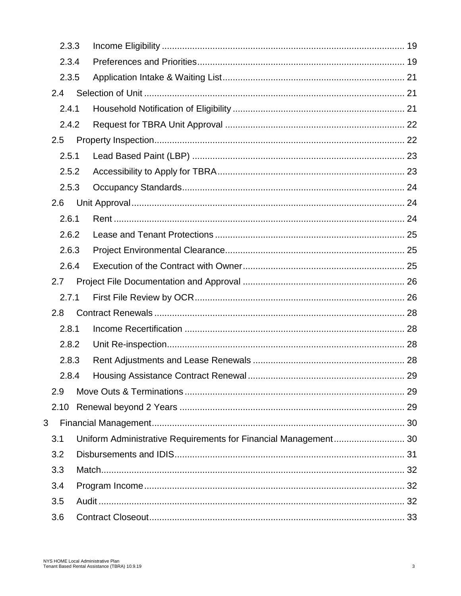|     | 2.3.3 |                                                                 |  |
|-----|-------|-----------------------------------------------------------------|--|
|     | 2.3.4 |                                                                 |  |
|     | 2.3.5 |                                                                 |  |
| 2.4 |       |                                                                 |  |
|     | 2.4.1 |                                                                 |  |
|     | 2.4.2 |                                                                 |  |
| 2.5 |       |                                                                 |  |
|     | 2.5.1 |                                                                 |  |
|     | 2.5.2 |                                                                 |  |
|     | 2.5.3 |                                                                 |  |
| 2.6 |       |                                                                 |  |
|     | 2.6.1 |                                                                 |  |
|     | 2.6.2 |                                                                 |  |
|     | 2.6.3 |                                                                 |  |
|     | 2.6.4 |                                                                 |  |
| 2.7 |       |                                                                 |  |
|     | 2.7.1 |                                                                 |  |
| 2.8 |       |                                                                 |  |
|     | 2.8.1 |                                                                 |  |
|     | 2.8.2 |                                                                 |  |
|     | 2.8.3 |                                                                 |  |
|     | 2.8.4 |                                                                 |  |
| 2.9 |       |                                                                 |  |
|     | 2.10  |                                                                 |  |
| 3   |       |                                                                 |  |
| 3.1 |       | Uniform Administrative Requirements for Financial Management 30 |  |
| 3.2 |       |                                                                 |  |
| 3.3 |       |                                                                 |  |
| 3.4 |       |                                                                 |  |
| 3.5 |       |                                                                 |  |
| 3.6 |       |                                                                 |  |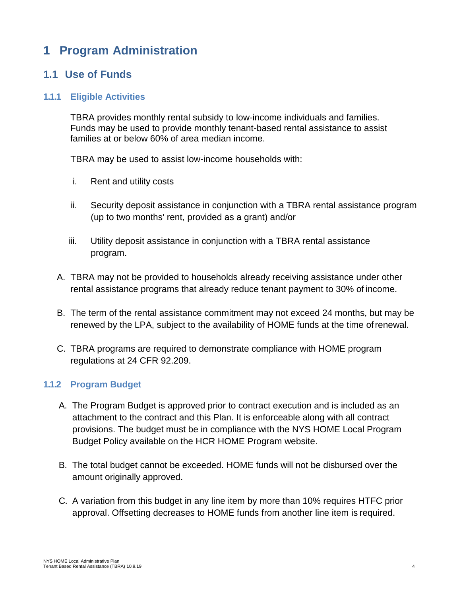# <span id="page-3-0"></span>**1 Program Administration**

# <span id="page-3-1"></span>**1.1 Use of Funds**

#### <span id="page-3-2"></span>**1.1.1 Eligible Activities**

TBRA provides monthly rental subsidy to low-income individuals and families. Funds may be used to provide monthly tenant-based rental assistance to assist families at or below 60% of area median income.

TBRA may be used to assist low-income households with:

- i. Rent and utility costs
- ii. Security deposit assistance in conjunction with a TBRA rental assistance program (up to two months' rent, provided as a grant) and/or
- iii. Utility deposit assistance in conjunction with a TBRA rental assistance program.
- A. TBRA may not be provided to households already receiving assistance under other rental assistance programs that already reduce tenant payment to 30% of income.
- B. The term of the rental assistance commitment may not exceed 24 months, but may be renewed by the LPA, subject to the availability of HOME funds at the time ofrenewal.
- C. TBRA programs are required to demonstrate compliance with HOME program regulations at 24 CFR 92.209.

#### <span id="page-3-3"></span>**1.1.2 Program Budget**

- A. The Program Budget is approved prior to contract execution and is included as an attachment to the contract and this Plan. It is enforceable along with all contract provisions. The budget must be in compliance with the NYS HOME Local Program Budget Policy available on the HCR HOME Program website.
- B. The total budget cannot be exceeded. HOME funds will not be disbursed over the amount originally approved.
- C. A variation from this budget in any line item by more than 10% requires HTFC prior approval. Offsetting decreases to HOME funds from another line item is required.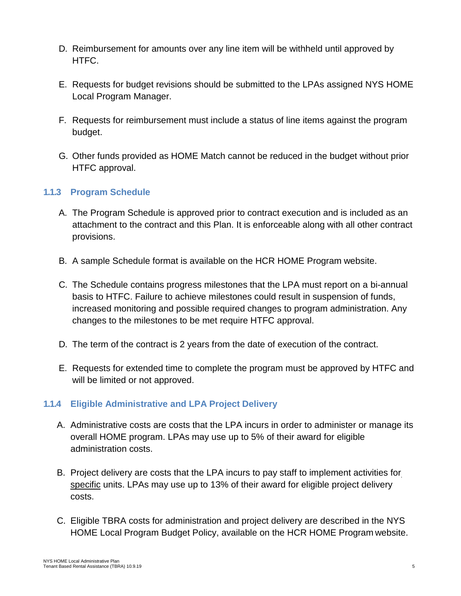- D. Reimbursement for amounts over any line item will be withheld until approved by HTFC.
- E. Requests for budget revisions should be submitted to the LPAs assigned NYS HOME Local Program Manager.
- F. Requests for reimbursement must include a status of line items against the program budget.
- G. Other funds provided as HOME Match cannot be reduced in the budget without prior HTFC approval.

## <span id="page-4-0"></span>**1.1.3 Program Schedule**

- A. The Program Schedule is approved prior to contract execution and is included as an attachment to the contract and this Plan. It is enforceable along with all other contract provisions.
- B. A sample Schedule format is available on the HCR HOME Program website.
- C. The Schedule contains progress milestones that the LPA must report on a bi-annual basis to HTFC. Failure to achieve milestones could result in suspension of funds, increased monitoring and possible required changes to program administration. Any changes to the milestones to be met require HTFC approval.
- D. The term of the contract is 2 years from the date of execution of the contract.
- E. Requests for extended time to complete the program must be approved by HTFC and will be limited or not approved.

## <span id="page-4-1"></span>**1.1.4 Eligible Administrative and LPA Project Delivery**

- A. Administrative costs are costs that the LPA incurs in order to administer or manage its overall HOME program. LPAs may use up to 5% of their award for eligible administration costs.
- B. Project delivery are costs that the LPA incurs to pay staff to implement activities for specific units. LPAs may use up to 13% of their award for eligible project delivery costs.
- C. Eligible TBRA costs for administration and project delivery are described in the NYS HOME Local Program Budget Policy, available on the HCR HOME Program website.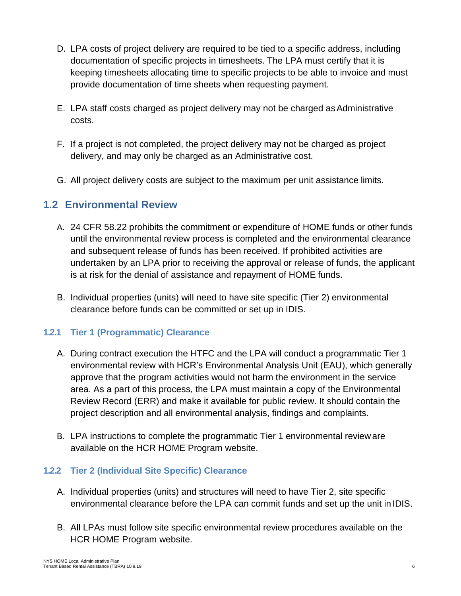- D. LPA costs of project delivery are required to be tied to a specific address, including documentation of specific projects in timesheets. The LPA must certify that it is keeping timesheets allocating time to specific projects to be able to invoice and must provide documentation of time sheets when requesting payment.
- E. LPA staff costs charged as project delivery may not be charged asAdministrative costs.
- F. If a project is not completed, the project delivery may not be charged as project delivery, and may only be charged as an Administrative cost.
- G. All project delivery costs are subject to the maximum per unit assistance limits.

# <span id="page-5-0"></span>**1.2 Environmental Review**

- A. 24 CFR 58.22 prohibits the commitment or expenditure of HOME funds or other funds until the environmental review process is completed and the environmental clearance and subsequent release of funds has been received. If prohibited activities are undertaken by an LPA prior to receiving the approval or release of funds, the applicant is at risk for the denial of assistance and repayment of HOME funds.
- B. Individual properties (units) will need to have site specific (Tier 2) environmental clearance before funds can be committed or set up in IDIS.

## <span id="page-5-1"></span>**1.2.1 Tier 1 (Programmatic) Clearance**

- A. During contract execution the HTFC and the LPA will conduct a programmatic Tier 1 environmental review with HCR's Environmental Analysis Unit (EAU), which generally approve that the program activities would not harm the environment in the service area. As a part of this process, the LPA must maintain a copy of the Environmental Review Record (ERR) and make it available for public review. It should contain the project description and all environmental analysis, findings and complaints.
- B. LPA instructions to complete the programmatic Tier 1 environmental revieware available on the HCR HOME Program website.

## <span id="page-5-2"></span>**1.2.2 Tier 2 (Individual Site Specific) Clearance**

- A. Individual properties (units) and structures will need to have Tier 2, site specific environmental clearance before the LPA can commit funds and set up the unit in IDIS.
- B. All LPAs must follow site specific environmental review procedures available on the HCR HOME Program website.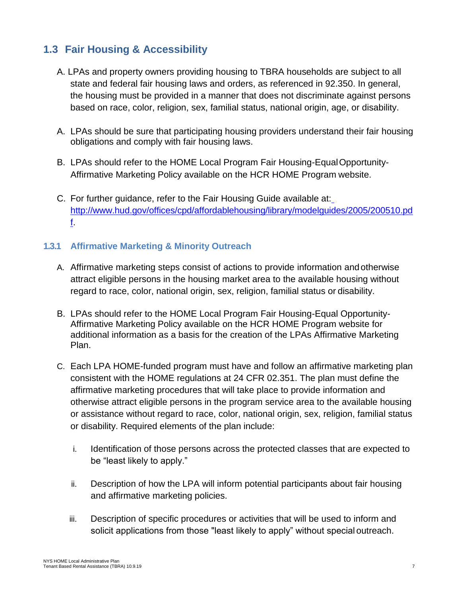# <span id="page-6-0"></span>**1.3 Fair Housing & Accessibility**

- A. LPAs and property owners providing housing to TBRA households are subject to all state and federal fair housing laws and orders, as referenced in 92.350. In general, the housing must be provided in a manner that does not discriminate against persons based on race, color, religion, sex, familial status, national origin, age, or disability.
- A. LPAs should be sure that participating housing providers understand their fair housing obligations and comply with fair housing laws.
- B. LPAs should refer to the HOME Local Program Fair Housing-EqualOpportunity-Affirmative Marketing Policy available on the HCR HOME Program website.
- C. For further guidance, refer to the Fair Housing Guide available at: [http://www.hud.gov/offices/cpd/affordablehousing/library/modelguides/2005/200510.pd](http://www.hud.gov/offices/cpd/affordablehousing/library/modelguides/2005/200510.pdf) [f.](http://www.hud.gov/offices/cpd/affordablehousing/library/modelguides/2005/200510.pdf)

## <span id="page-6-1"></span>**1.3.1 Affirmative Marketing & Minority Outreach**

- A. Affirmative marketing steps consist of actions to provide information andotherwise attract eligible persons in the housing market area to the available housing without regard to race, color, national origin, sex, religion, familial status or disability.
- B. LPAs should refer to the HOME Local Program Fair Housing-Equal Opportunity-Affirmative Marketing Policy available on the HCR HOME Program website for additional information as a basis for the creation of the LPAs Affirmative Marketing Plan.
- C. Each LPA HOME-funded program must have and follow an affirmative marketing plan consistent with the HOME regulations at 24 CFR 02.351. The plan must define the affirmative marketing procedures that will take place to provide information and otherwise attract eligible persons in the program service area to the available housing or assistance without regard to race, color, national origin, sex, religion, familial status or disability. Required elements of the plan include:
	- i. Identification of those persons across the protected classes that are expected to be "least likely to apply."
	- ii. Description of how the LPA will inform potential participants about fair housing and affirmative marketing policies.
	- iii. Description of specific procedures or activities that will be used to inform and solicit applications from those "least likely to apply" without special outreach.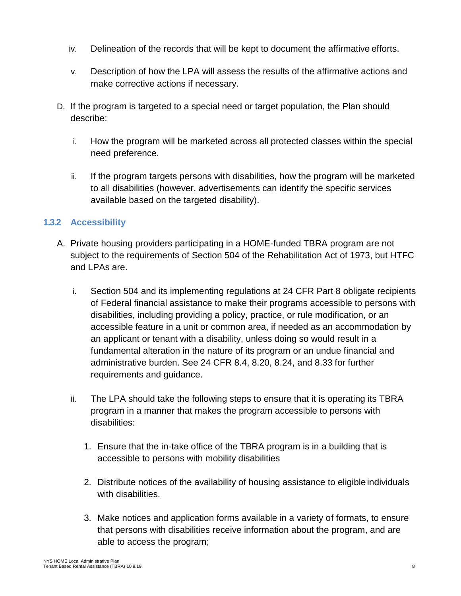- iv. Delineation of the records that will be kept to document the affirmative efforts.
- v. Description of how the LPA will assess the results of the affirmative actions and make corrective actions if necessary.
- D. If the program is targeted to a special need or target population, the Plan should describe:
	- i. How the program will be marketed across all protected classes within the special need preference.
	- ii. If the program targets persons with disabilities, how the program will be marketed to all disabilities (however, advertisements can identify the specific services available based on the targeted disability).

## <span id="page-7-0"></span>**1.3.2 Accessibility**

- A. Private housing providers participating in a HOME-funded TBRA program are not subject to the requirements of Section 504 of the Rehabilitation Act of 1973, but HTFC and LPAs are.
	- i. Section 504 and its implementing regulations at 24 CFR Part 8 obligate recipients of Federal financial assistance to make their programs accessible to persons with disabilities, including providing a policy, practice, or rule modification, or an accessible feature in a unit or common area, if needed as an accommodation by an applicant or tenant with a disability, unless doing so would result in a fundamental alteration in the nature of its program or an undue financial and administrative burden. See 24 CFR 8.4, 8.20, 8.24, and 8.33 for further requirements and guidance.
	- ii. The LPA should take the following steps to ensure that it is operating its TBRA program in a manner that makes the program accessible to persons with disabilities:
		- 1. Ensure that the in-take office of the TBRA program is in a building that is accessible to persons with mobility disabilities
		- 2. Distribute notices of the availability of housing assistance to eligible individuals with disabilities.
		- 3. Make notices and application forms available in a variety of formats, to ensure that persons with disabilities receive information about the program, and are able to access the program;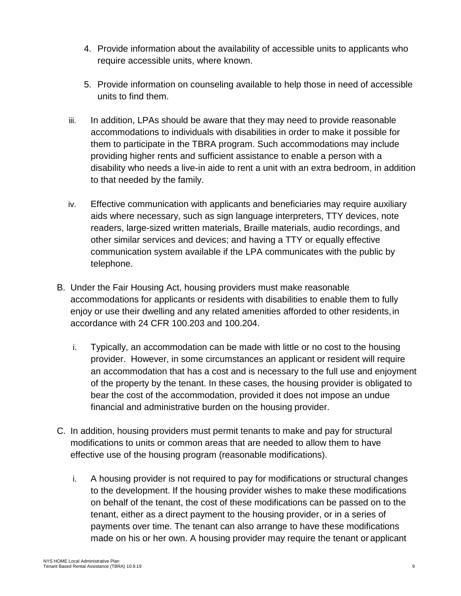- 4. Provide information about the availability of accessible units to applicants who require accessible units, where known.
- 5. Provide information on counseling available to help those in need of accessible units to find them.
- iii. In addition, LPAs should be aware that they may need to provide reasonable accommodations to individuals with disabilities in order to make it possible for them to participate in the TBRA program. Such accommodations may include providing higher rents and sufficient assistance to enable a person with a disability who needs a live-in aide to rent a unit with an extra bedroom, in addition to that needed by the family.
- iv. Effective communication with applicants and beneficiaries may require auxiliary aids where necessary, such as sign language interpreters, TTY devices, note readers, large-sized written materials, Braille materials, audio recordings, and other similar services and devices; and having a TTY or equally effective communication system available if the LPA communicates with the public by telephone.
- B. Under the Fair Housing Act, housing providers must make reasonable accommodations for applicants or residents with disabilities to enable them to fully enjoy or use their dwelling and any related amenities afforded to other residents,in accordance with 24 CFR 100.203 and 100.204.
	- i. Typically, an accommodation can be made with little or no cost to the housing provider. However, in some circumstances an applicant or resident will require an accommodation that has a cost and is necessary to the full use and enjoyment of the property by the tenant. In these cases, the housing provider is obligated to bear the cost of the accommodation, provided it does not impose an undue financial and administrative burden on the housing provider.
- C. In addition, housing providers must permit tenants to make and pay for structural modifications to units or common areas that are needed to allow them to have effective use of the housing program (reasonable modifications).
	- i. A housing provider is not required to pay for modifications or structural changes to the development. If the housing provider wishes to make these modifications on behalf of the tenant, the cost of these modifications can be passed on to the tenant, either as a direct payment to the housing provider, or in a series of payments over time. The tenant can also arrange to have these modifications made on his or her own. A housing provider may require the tenant or applicant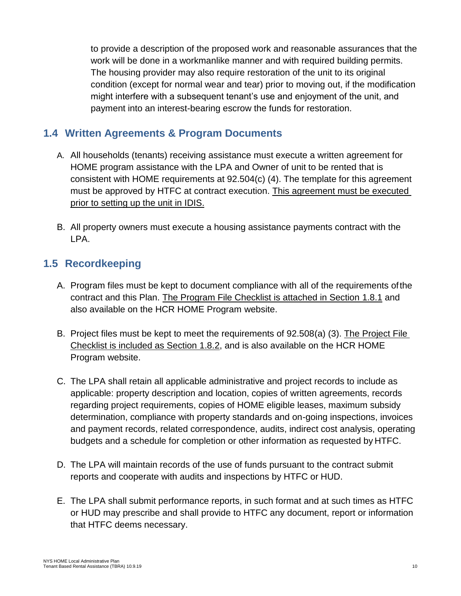to provide a description of the proposed work and reasonable assurances that the work will be done in a workmanlike manner and with required building permits. The housing provider may also require restoration of the unit to its original condition (except for normal wear and tear) prior to moving out, if the modification might interfere with a subsequent tenant's use and enjoyment of the unit, and payment into an interest-bearing escrow the funds for restoration.

# <span id="page-9-0"></span>**1.4 Written Agreements & Program Documents**

- A. All households (tenants) receiving assistance must execute a written agreement for HOME program assistance with the LPA and Owner of unit to be rented that is consistent with HOME requirements at 92.504(c) (4). The template for this agreement must be approved by HTFC at contract execution. This agreement must be executed prior to setting up the unit in IDIS.
- B. All property owners must execute a housing assistance payments contract with the LPA.

# <span id="page-9-1"></span>**1.5 Recordkeeping**

- A. Program files must be kept to document compliance with all of the requirements ofthe contract and this Plan. The Program File Checklist is attached in Section [1.8.1](#page-13-0) and also available on the HCR HOME Program website.
- B. Project files must be kept to meet the requirements of 92.508(a) (3). The Project File Checklist is included as Section [1.8.2,](#page-14-0) and is also available on the HCR HOME Program website.
- C. The LPA shall retain all applicable administrative and project records to include as applicable: property description and location, copies of written agreements, records regarding project requirements, copies of HOME eligible leases, maximum subsidy determination, compliance with property standards and on-going inspections, invoices and payment records, related correspondence, audits, indirect cost analysis, operating budgets and a schedule for completion or other information as requested by HTFC.
- D. The LPA will maintain records of the use of funds pursuant to the contract submit reports and cooperate with audits and inspections by HTFC or HUD.
- E. The LPA shall submit performance reports, in such format and at such times as HTFC or HUD may prescribe and shall provide to HTFC any document, report or information that HTFC deems necessary.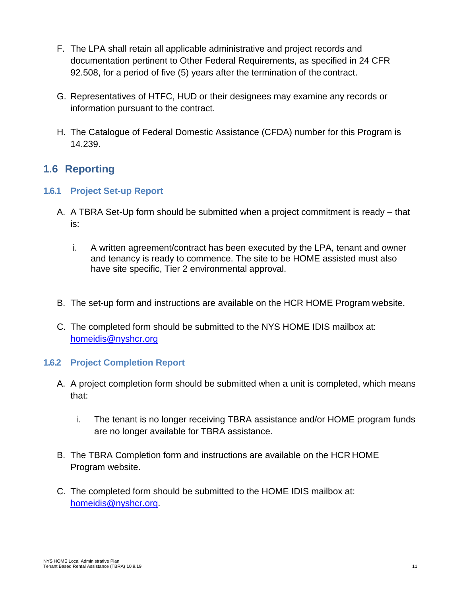- F. The LPA shall retain all applicable administrative and project records and documentation pertinent to Other Federal Requirements, as specified in 24 CFR 92.508, for a period of five (5) years after the termination of the contract.
- G. Representatives of HTFC, HUD or their designees may examine any records or information pursuant to the contract.
- H. The Catalogue of Federal Domestic Assistance (CFDA) number for this Program is 14.239.

# <span id="page-10-0"></span>**1.6 Reporting**

## <span id="page-10-1"></span>**1.6.1 Project Set-up Report**

- A. A TBRA Set-Up form should be submitted when a project commitment is ready that is:
	- i. A written agreement/contract has been executed by the LPA, tenant and owner and tenancy is ready to commence. The site to be HOME assisted must also have site specific, Tier 2 environmental approval.
- B. The set-up form and instructions are available on the HCR HOME Program website.
- C. The completed form should be submitted to the NYS HOME IDIS mailbox at: [homeidis@nyshcr.org](mailto:homeidis@nyshcr.org)

## <span id="page-10-2"></span>**1.6.2 Project Completion Report**

- A. A project completion form should be submitted when a unit is completed, which means that:
	- i. The tenant is no longer receiving TBRA assistance and/or HOME program funds are no longer available for TBRA assistance.
- B. The TBRA Completion form and instructions are available on the HCR HOME Program website.
- C. The completed form should be submitted to the HOME IDIS mailbox at: [homeidis@nyshcr.org.](mailto:homeidis@nyshcr.org)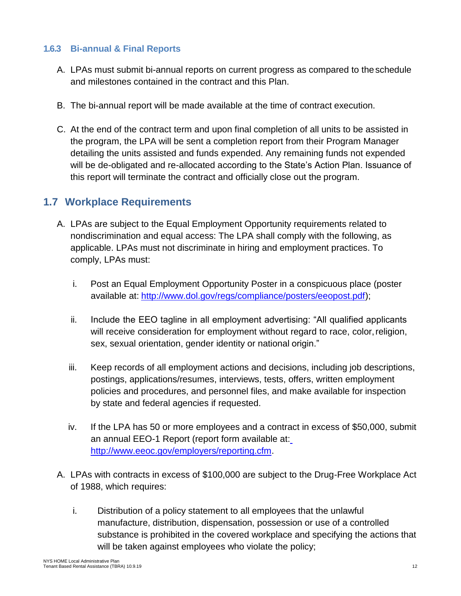### <span id="page-11-0"></span>**1.6.3 Bi-annual & Final Reports**

- A. LPAs must submit bi-annual reports on current progress as compared to theschedule and milestones contained in the contract and this Plan.
- B. The bi-annual report will be made available at the time of contract execution.
- C. At the end of the contract term and upon final completion of all units to be assisted in the program, the LPA will be sent a completion report from their Program Manager detailing the units assisted and funds expended. Any remaining funds not expended will be de-obligated and re-allocated according to the State's Action Plan. Issuance of this report will terminate the contract and officially close out the program.

# <span id="page-11-1"></span>**1.7 Workplace Requirements**

- A. LPAs are subject to the Equal Employment Opportunity requirements related to nondiscrimination and equal access: The LPA shall comply with the following, as applicable. LPAs must not discriminate in hiring and employment practices. To comply, LPAs must:
	- i. Post an Equal Employment Opportunity Poster in a conspicuous place (poster available at: [http://www.dol.gov/regs/compliance/posters/eeopost.pdf\)](http://www.dol.gov/regs/compliance/posters/eeopost.pdf);
	- ii. Include the EEO tagline in all employment advertising: "All qualified applicants will receive consideration for employment without regard to race, color, religion, sex, sexual orientation, gender identity or national origin."
	- iii. Keep records of all employment actions and decisions, including job descriptions, postings, applications/resumes, interviews, tests, offers, written employment policies and procedures, and personnel files, and make available for inspection by state and federal agencies if requested.
	- iv. If the LPA has 50 or more employees and a contract in excess of \$50,000, submit an annual EEO-1 Report (report form available at: [http://www.eeoc.gov/employers/reporting.cfm.](http://www.eeoc.gov/employers/reporting.cfm)
- A. LPAs with contracts in excess of \$100,000 are subject to the Drug-Free Workplace Act of 1988, which requires:
	- i. Distribution of a policy statement to all employees that the unlawful manufacture, distribution, dispensation, possession or use of a controlled substance is prohibited in the covered workplace and specifying the actions that will be taken against employees who violate the policy;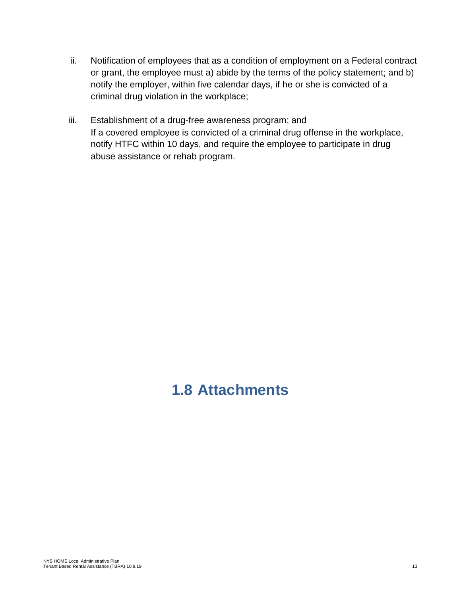- ii. Notification of employees that as a condition of employment on a Federal contract or grant, the employee must a) abide by the terms of the policy statement; and b) notify the employer, within five calendar days, if he or she is convicted of a criminal drug violation in the workplace;
- iii. Establishment of a drug-free awareness program; and If a covered employee is convicted of a criminal drug offense in the workplace, notify HTFC within 10 days, and require the employee to participate in drug abuse assistance or rehab program.

# <span id="page-12-0"></span>**1.8 Attachments**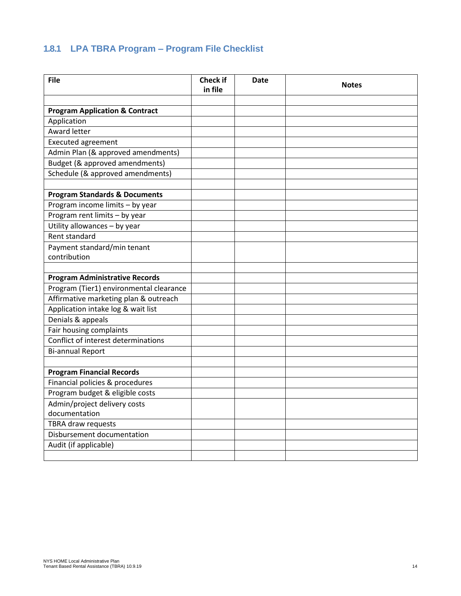# <span id="page-13-0"></span>**1.8.1 LPA TBRA Program – Program File Checklist**

| <b>File</b>                                   | Check if<br>in file | Date | <b>Notes</b> |  |
|-----------------------------------------------|---------------------|------|--------------|--|
|                                               |                     |      |              |  |
| <b>Program Application &amp; Contract</b>     |                     |      |              |  |
| Application                                   |                     |      |              |  |
| Award letter                                  |                     |      |              |  |
| <b>Executed agreement</b>                     |                     |      |              |  |
| Admin Plan (& approved amendments)            |                     |      |              |  |
| Budget (& approved amendments)                |                     |      |              |  |
| Schedule (& approved amendments)              |                     |      |              |  |
| <b>Program Standards &amp; Documents</b>      |                     |      |              |  |
| Program income limits - by year               |                     |      |              |  |
| Program rent limits - by year                 |                     |      |              |  |
| Utility allowances - by year                  |                     |      |              |  |
| Rent standard                                 |                     |      |              |  |
| Payment standard/min tenant                   |                     |      |              |  |
| contribution                                  |                     |      |              |  |
|                                               |                     |      |              |  |
| <b>Program Administrative Records</b>         |                     |      |              |  |
| Program (Tier1) environmental clearance       |                     |      |              |  |
| Affirmative marketing plan & outreach         |                     |      |              |  |
| Application intake log & wait list            |                     |      |              |  |
| Denials & appeals                             |                     |      |              |  |
| Fair housing complaints                       |                     |      |              |  |
| Conflict of interest determinations           |                     |      |              |  |
| <b>Bi-annual Report</b>                       |                     |      |              |  |
|                                               |                     |      |              |  |
| <b>Program Financial Records</b>              |                     |      |              |  |
| Financial policies & procedures               |                     |      |              |  |
| Program budget & eligible costs               |                     |      |              |  |
| Admin/project delivery costs<br>documentation |                     |      |              |  |
| TBRA draw requests                            |                     |      |              |  |
| Disbursement documentation                    |                     |      |              |  |
| Audit (if applicable)                         |                     |      |              |  |
|                                               |                     |      |              |  |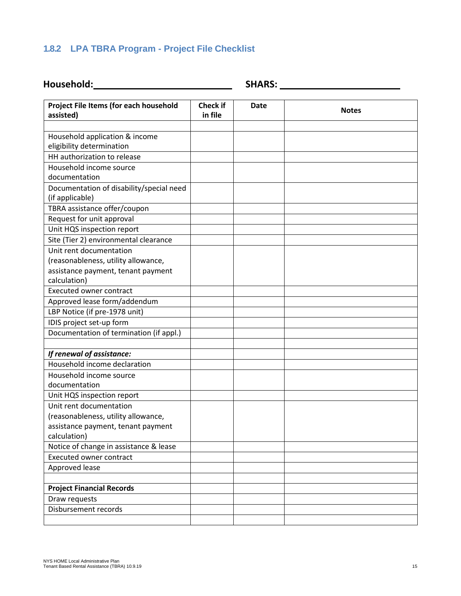## <span id="page-14-0"></span>**1.8.2 LPA TBRA Program - Project File Checklist**

**Household: SHARS:**

| Project File Items (for each household<br>assisted)         | <b>Check if</b><br>in file | <b>Date</b> | <b>Notes</b> |
|-------------------------------------------------------------|----------------------------|-------------|--------------|
|                                                             |                            |             |              |
| Household application & income<br>eligibility determination |                            |             |              |
| HH authorization to release                                 |                            |             |              |
| Household income source                                     |                            |             |              |
| documentation                                               |                            |             |              |
| Documentation of disability/special need<br>(if applicable) |                            |             |              |
| TBRA assistance offer/coupon                                |                            |             |              |
| Request for unit approval                                   |                            |             |              |
| Unit HQS inspection report                                  |                            |             |              |
| Site (Tier 2) environmental clearance                       |                            |             |              |
| Unit rent documentation                                     |                            |             |              |
| (reasonableness, utility allowance,                         |                            |             |              |
| assistance payment, tenant payment                          |                            |             |              |
| calculation)                                                |                            |             |              |
| <b>Executed owner contract</b>                              |                            |             |              |
| Approved lease form/addendum                                |                            |             |              |
| LBP Notice (if pre-1978 unit)                               |                            |             |              |
| IDIS project set-up form                                    |                            |             |              |
| Documentation of termination (if appl.)                     |                            |             |              |
| If renewal of assistance:                                   |                            |             |              |
| Household income declaration                                |                            |             |              |
| Household income source                                     |                            |             |              |
| documentation                                               |                            |             |              |
| Unit HQS inspection report                                  |                            |             |              |
| Unit rent documentation                                     |                            |             |              |
| (reasonableness, utility allowance,                         |                            |             |              |
| assistance payment, tenant payment                          |                            |             |              |
| calculation)                                                |                            |             |              |
| Notice of change in assistance & lease                      |                            |             |              |
| <b>Executed owner contract</b>                              |                            |             |              |
| Approved lease                                              |                            |             |              |
|                                                             |                            |             |              |
| <b>Project Financial Records</b>                            |                            |             |              |
| Draw requests                                               |                            |             |              |
| Disbursement records                                        |                            |             |              |
|                                                             |                            |             |              |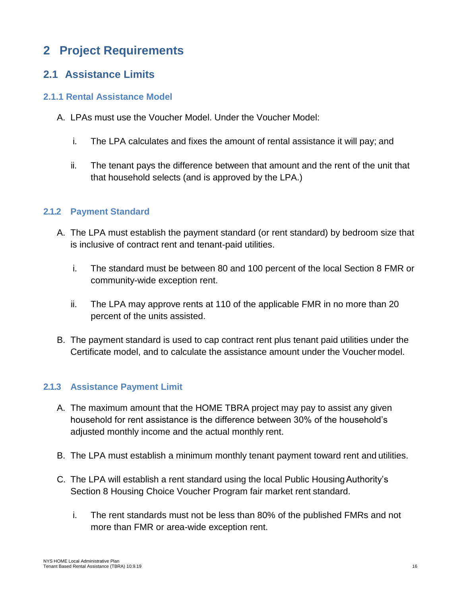# <span id="page-15-0"></span>**2 Project Requirements**

# <span id="page-15-1"></span>**2.1 Assistance Limits**

### <span id="page-15-2"></span>**2.1.1 Rental Assistance Model**

- A. LPAs must use the Voucher Model. Under the Voucher Model:
	- i. The LPA calculates and fixes the amount of rental assistance it will pay; and
	- ii. The tenant pays the difference between that amount and the rent of the unit that that household selects (and is approved by the LPA.)

### <span id="page-15-3"></span>**2.1.2 Payment Standard**

- A. The LPA must establish the payment standard (or rent standard) by bedroom size that is inclusive of contract rent and tenant-paid utilities.
	- i. The standard must be between 80 and 100 percent of the local Section 8 FMR or community-wide exception rent.
	- ii. The LPA may approve rents at 110 of the applicable FMR in no more than 20 percent of the units assisted.
- B. The payment standard is used to cap contract rent plus tenant paid utilities under the Certificate model, and to calculate the assistance amount under the Voucher model.

## <span id="page-15-4"></span>**2.1.3 Assistance Payment Limit**

- A. The maximum amount that the HOME TBRA project may pay to assist any given household for rent assistance is the difference between 30% of the household's adjusted monthly income and the actual monthly rent.
- B. The LPA must establish a minimum monthly tenant payment toward rent and utilities.
- C. The LPA will establish a rent standard using the local Public HousingAuthority's Section 8 Housing Choice Voucher Program fair market rent standard.
	- i. The rent standards must not be less than 80% of the published FMRs and not more than FMR or area-wide exception rent.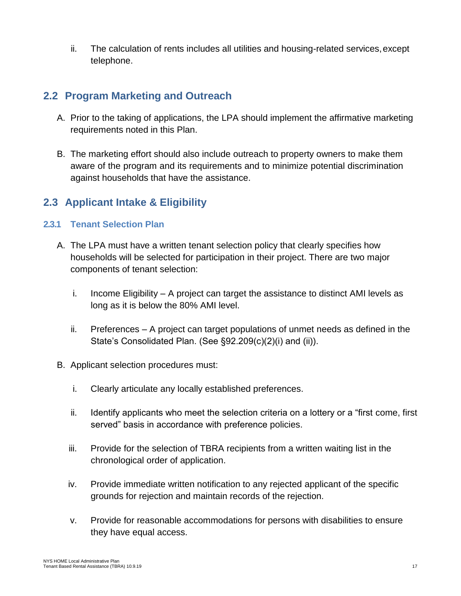ii. The calculation of rents includes all utilities and housing-related services,except telephone.

# <span id="page-16-0"></span>**2.2 Program Marketing and Outreach**

- A. Prior to the taking of applications, the LPA should implement the affirmative marketing requirements noted in this Plan.
- B. The marketing effort should also include outreach to property owners to make them aware of the program and its requirements and to minimize potential discrimination against households that have the assistance.

# <span id="page-16-1"></span>**2.3 Applicant Intake & Eligibility**

## <span id="page-16-2"></span>**2.3.1 Tenant Selection Plan**

- A. The LPA must have a written tenant selection policy that clearly specifies how households will be selected for participation in their project. There are two major components of tenant selection:
	- i. Income Eligibility A project can target the assistance to distinct AMI levels as long as it is below the 80% AMI level.
	- ii. Preferences A project can target populations of unmet needs as defined in the State's Consolidated Plan. (See §92.209(c)(2)(i) and (ii)).
- B. Applicant selection procedures must:
	- i. Clearly articulate any locally established preferences.
	- ii. Identify applicants who meet the selection criteria on a lottery or a "first come, first served" basis in accordance with preference policies.
	- iii. Provide for the selection of TBRA recipients from a written waiting list in the chronological order of application.
	- iv. Provide immediate written notification to any rejected applicant of the specific grounds for rejection and maintain records of the rejection.
	- v. Provide for reasonable accommodations for persons with disabilities to ensure they have equal access.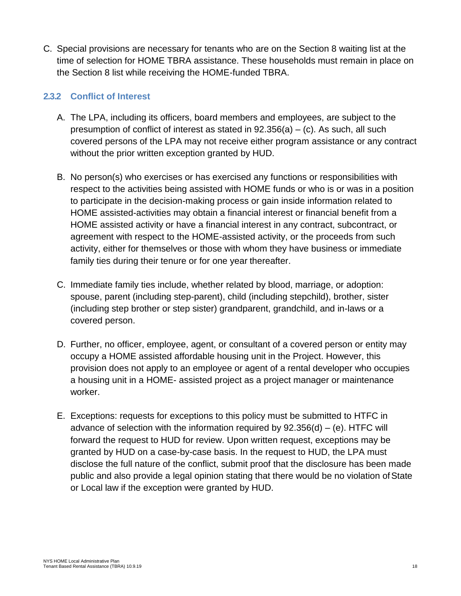C. Special provisions are necessary for tenants who are on the Section 8 waiting list at the time of selection for HOME TBRA assistance. These households must remain in place on the Section 8 list while receiving the HOME-funded TBRA.

## <span id="page-17-0"></span>**2.3.2 Conflict of Interest**

- A. The LPA, including its officers, board members and employees, are subject to the presumption of conflict of interest as stated in  $92.356(a) - (c)$ . As such, all such covered persons of the LPA may not receive either program assistance or any contract without the prior written exception granted by HUD.
- B. No person(s) who exercises or has exercised any functions or responsibilities with respect to the activities being assisted with HOME funds or who is or was in a position to participate in the decision-making process or gain inside information related to HOME assisted-activities may obtain a financial interest or financial benefit from a HOME assisted activity or have a financial interest in any contract, subcontract, or agreement with respect to the HOME-assisted activity, or the proceeds from such activity, either for themselves or those with whom they have business or immediate family ties during their tenure or for one year thereafter.
- C. Immediate family ties include, whether related by blood, marriage, or adoption: spouse, parent (including step-parent), child (including stepchild), brother, sister (including step brother or step sister) grandparent, grandchild, and in-laws or a covered person.
- D. Further, no officer, employee, agent, or consultant of a covered person or entity may occupy a HOME assisted affordable housing unit in the Project. However, this provision does not apply to an employee or agent of a rental developer who occupies a housing unit in a HOME- assisted project as a project manager or maintenance worker.
- E. Exceptions: requests for exceptions to this policy must be submitted to HTFC in advance of selection with the information required by  $92.356(d) - (e)$ . HTFC will forward the request to HUD for review. Upon written request, exceptions may be granted by HUD on a case-by-case basis. In the request to HUD, the LPA must disclose the full nature of the conflict, submit proof that the disclosure has been made public and also provide a legal opinion stating that there would be no violation of State or Local law if the exception were granted by HUD.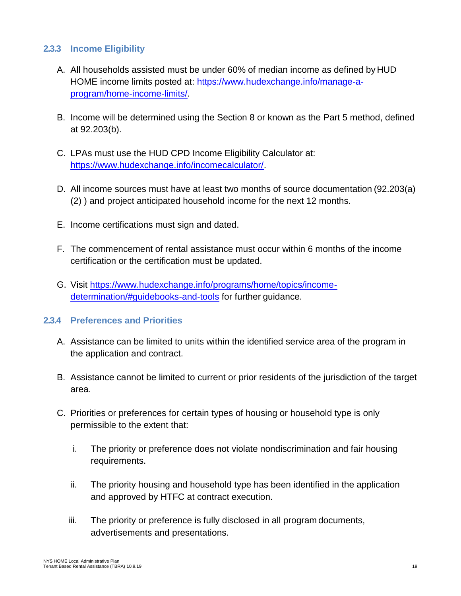### <span id="page-18-0"></span>**2.3.3 Income Eligibility**

- A. All households assisted must be under 60% of median income as defined by HUD HOME income limits posted at: [https://www.hudexchange.info/manage-a](https://www.hudexchange.info/manage-a-program/home-income-limits/)[program/home-income-limits/.](https://www.hudexchange.info/manage-a-program/home-income-limits/)
- B. Income will be determined using the Section 8 or known as the Part 5 method, defined at 92.203(b).
- C. LPAs must use the HUD CPD Income Eligibility Calculator at: [https://www.hudexchange.info/incomecalculator/.](https://www.hudexchange.info/incomecalculator/)
- D. All income sources must have at least two months of source documentation (92.203(a) (2) ) and project anticipated household income for the next 12 months.
- E. Income certifications must sign and dated.
- F. The commencement of rental assistance must occur within 6 months of the income certification or the certification must be updated.
- G. Visit [https://www.hudexchange.info/programs/home/topics/income](https://www.hudexchange.info/programs/home/topics/income-determination/#guidebooks-and-tools)[determination/#guidebooks-and-tools](https://www.hudexchange.info/programs/home/topics/income-determination/#guidebooks-and-tools) for further guidance.

#### <span id="page-18-1"></span>**2.3.4 Preferences and Priorities**

- A. Assistance can be limited to units within the identified service area of the program in the application and contract.
- B. Assistance cannot be limited to current or prior residents of the jurisdiction of the target area.
- C. Priorities or preferences for certain types of housing or household type is only permissible to the extent that:
	- i. The priority or preference does not violate nondiscrimination and fair housing requirements.
	- ii. The priority housing and household type has been identified in the application and approved by HTFC at contract execution.
	- iii. The priority or preference is fully disclosed in all program documents, advertisements and presentations.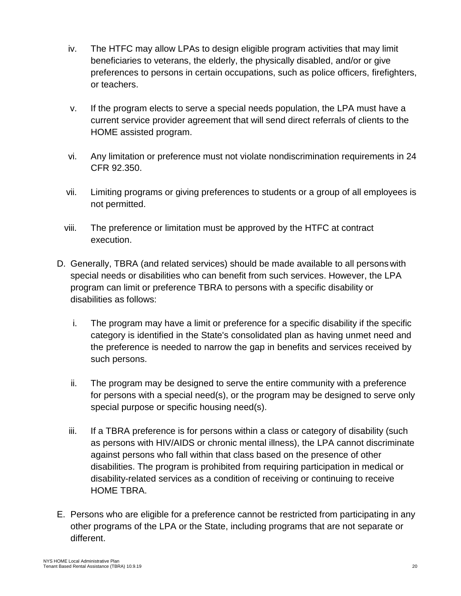- iv. The HTFC may allow LPAs to design eligible program activities that may limit beneficiaries to veterans, the elderly, the physically disabled, and/or or give preferences to persons in certain occupations, such as police officers, firefighters, or teachers.
- v. If the program elects to serve a special needs population, the LPA must have a current service provider agreement that will send direct referrals of clients to the HOME assisted program.
- vi. Any limitation or preference must not violate nondiscrimination requirements in 24 CFR 92.350.
- vii. Limiting programs or giving preferences to students or a group of all employees is not permitted.
- viii. The preference or limitation must be approved by the HTFC at contract execution.
- D. Generally, TBRA (and related services) should be made available to all persons with special needs or disabilities who can benefit from such services. However, the LPA program can limit or preference TBRA to persons with a specific disability or disabilities as follows:
	- i. The program may have a limit or preference for a specific disability if the specific category is identified in the State's consolidated plan as having unmet need and the preference is needed to narrow the gap in benefits and services received by such persons.
	- ii. The program may be designed to serve the entire community with a preference for persons with a special need(s), or the program may be designed to serve only special purpose or specific housing need(s).
	- iii. If a TBRA preference is for persons within a class or category of disability (such as persons with HIV/AIDS or chronic mental illness), the LPA cannot discriminate against persons who fall within that class based on the presence of other disabilities. The program is prohibited from requiring participation in medical or disability-related services as a condition of receiving or continuing to receive HOME TBRA.
- E. Persons who are eligible for a preference cannot be restricted from participating in any other programs of the LPA or the State, including programs that are not separate or different.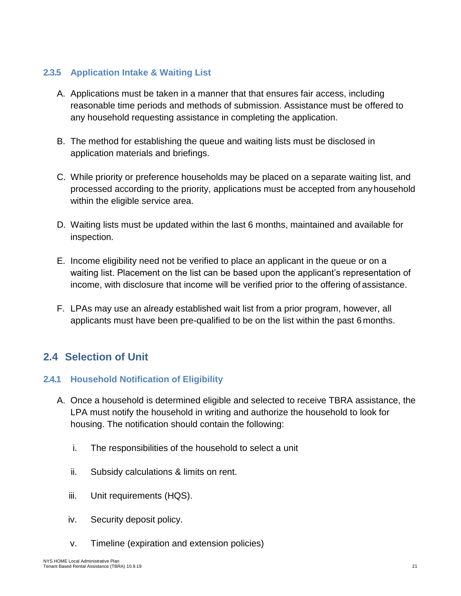## <span id="page-20-0"></span>**2.3.5 Application Intake & Waiting List**

- A. Applications must be taken in a manner that that ensures fair access, including reasonable time periods and methods of submission. Assistance must be offered to any household requesting assistance in completing the application.
- B. The method for establishing the queue and waiting lists must be disclosed in application materials and briefings.
- C. While priority or preference households may be placed on a separate waiting list, and processed according to the priority, applications must be accepted from anyhousehold within the eligible service area.
- D. Waiting lists must be updated within the last 6 months, maintained and available for inspection.
- E. Income eligibility need not be verified to place an applicant in the queue or on a waiting list. Placement on the list can be based upon the applicant's representation of income, with disclosure that income will be verified prior to the offering of assistance.
- F. LPAs may use an already established wait list from a prior program, however, all applicants must have been pre-qualified to be on the list within the past 6 months.

# <span id="page-20-1"></span>**2.4 Selection of Unit**

## <span id="page-20-2"></span>**2.4.1 Household Notification of Eligibility**

- A. Once a household is determined eligible and selected to receive TBRA assistance, the LPA must notify the household in writing and authorize the household to look for housing. The notification should contain the following:
	- i. The responsibilities of the household to select a unit
	- ii. Subsidy calculations & limits on rent.
	- iii. Unit requirements (HQS).
	- iv. Security deposit policy.
	- v. Timeline (expiration and extension policies)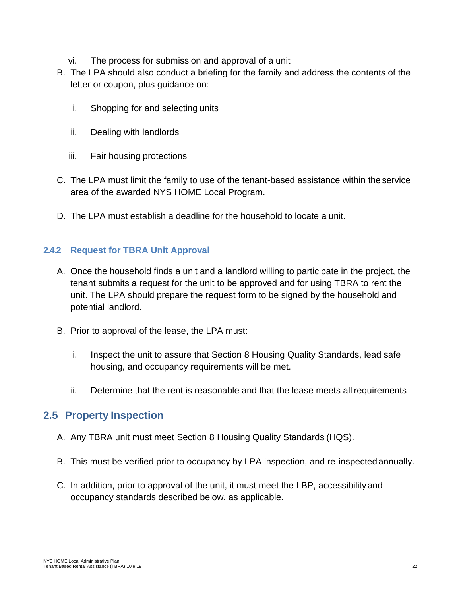- vi. The process for submission and approval of a unit
- B. The LPA should also conduct a briefing for the family and address the contents of the letter or coupon, plus guidance on:
	- i. Shopping for and selecting units
	- ii. Dealing with landlords
	- iii. Fair housing protections
- C. The LPA must limit the family to use of the tenant-based assistance within the service area of the awarded NYS HOME Local Program.
- D. The LPA must establish a deadline for the household to locate a unit.

## <span id="page-21-0"></span>**2.4.2 Request for TBRA Unit Approval**

- A. Once the household finds a unit and a landlord willing to participate in the project, the tenant submits a request for the unit to be approved and for using TBRA to rent the unit. The LPA should prepare the request form to be signed by the household and potential landlord.
- B. Prior to approval of the lease, the LPA must:
	- i. Inspect the unit to assure that Section 8 Housing Quality Standards, lead safe housing, and occupancy requirements will be met.
	- ii. Determine that the rent is reasonable and that the lease meets all requirements

# <span id="page-21-1"></span>**2.5 Property Inspection**

- A. Any TBRA unit must meet Section 8 Housing Quality Standards (HQS).
- B. This must be verified prior to occupancy by LPA inspection, and re-inspectedannually.
- C. In addition, prior to approval of the unit, it must meet the LBP, accessibilityand occupancy standards described below, as applicable.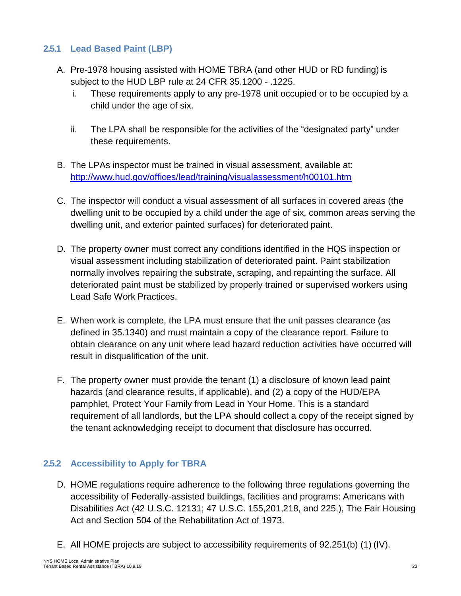## <span id="page-22-0"></span>**2.5.1 Lead Based Paint (LBP)**

- A. Pre-1978 housing assisted with HOME TBRA (and other HUD or RD funding) is subject to the HUD LBP rule at 24 CFR 35.1200 - .1225.
	- i. These requirements apply to any pre-1978 unit occupied or to be occupied by a child under the age of six.
	- ii. The LPA shall be responsible for the activities of the "designated party" under these requirements.
- B. The LPAs inspector must be trained in visual assessment, available at[:](http://www.hud.gov/offices/lead/training/visualassessment/h00101.htm) <http://www.hud.gov/offices/lead/training/visualassessment/h00101.htm>
- C. The inspector will conduct a visual assessment of all surfaces in covered areas (the dwelling unit to be occupied by a child under the age of six, common areas serving the dwelling unit, and exterior painted surfaces) for deteriorated paint.
- D. The property owner must correct any conditions identified in the HQS inspection or visual assessment including stabilization of deteriorated paint. Paint stabilization normally involves repairing the substrate, scraping, and repainting the surface. All deteriorated paint must be stabilized by properly trained or supervised workers using Lead Safe Work Practices.
- E. When work is complete, the LPA must ensure that the unit passes clearance (as defined in 35.1340) and must maintain a copy of the clearance report. Failure to obtain clearance on any unit where lead hazard reduction activities have occurred will result in disqualification of the unit.
- F. The property owner must provide the tenant (1) a disclosure of known lead paint hazards (and clearance results, if applicable), and (2) a copy of the HUD/EPA pamphlet, Protect Your Family from Lead in Your Home. This is a standard requirement of all landlords, but the LPA should collect a copy of the receipt signed by the tenant acknowledging receipt to document that disclosure has occurred.

## <span id="page-22-1"></span>**2.5.2 Accessibility to Apply for TBRA**

- D. HOME regulations require adherence to the following three regulations governing the accessibility of Federally-assisted buildings, facilities and programs: Americans with Disabilities Act (42 U.S.C. 12131; 47 U.S.C. 155,201,218, and 225.), The Fair Housing Act and Section 504 of the Rehabilitation Act of 1973.
- E. All HOME projects are subject to accessibility requirements of 92.251(b) (1) (IV).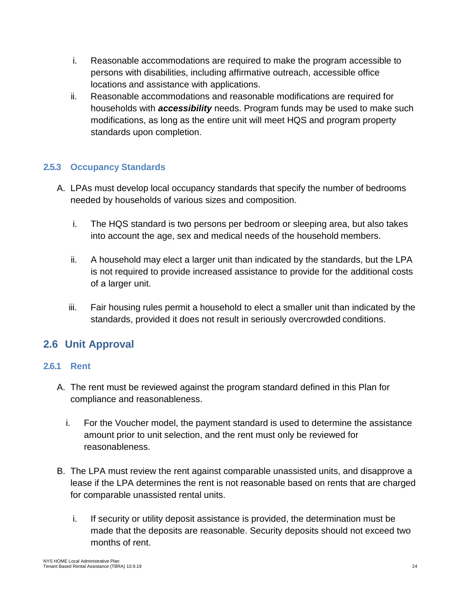- i. Reasonable accommodations are required to make the program accessible to persons with disabilities, including affirmative outreach, accessible office locations and assistance with applications.
- ii. Reasonable accommodations and reasonable modifications are required for households with *accessibility* needs. Program funds may be used to make such modifications, as long as the entire unit will meet HQS and program property standards upon completion.

## <span id="page-23-0"></span>**2.5.3 Occupancy Standards**

- A. LPAs must develop local occupancy standards that specify the number of bedrooms needed by households of various sizes and composition.
	- i. The HQS standard is two persons per bedroom or sleeping area, but also takes into account the age, sex and medical needs of the household members.
	- ii. A household may elect a larger unit than indicated by the standards, but the LPA is not required to provide increased assistance to provide for the additional costs of a larger unit.
	- iii. Fair housing rules permit a household to elect a smaller unit than indicated by the standards, provided it does not result in seriously overcrowded conditions.

# <span id="page-23-1"></span>**2.6 Unit Approval**

## <span id="page-23-2"></span>**2.6.1 Rent**

- A. The rent must be reviewed against the program standard defined in this Plan for compliance and reasonableness.
	- i. For the Voucher model, the payment standard is used to determine the assistance amount prior to unit selection, and the rent must only be reviewed for reasonableness.
- B. The LPA must review the rent against comparable unassisted units, and disapprove a lease if the LPA determines the rent is not reasonable based on rents that are charged for comparable unassisted rental units.
	- i. If security or utility deposit assistance is provided, the determination must be made that the deposits are reasonable. Security deposits should not exceed two months of rent.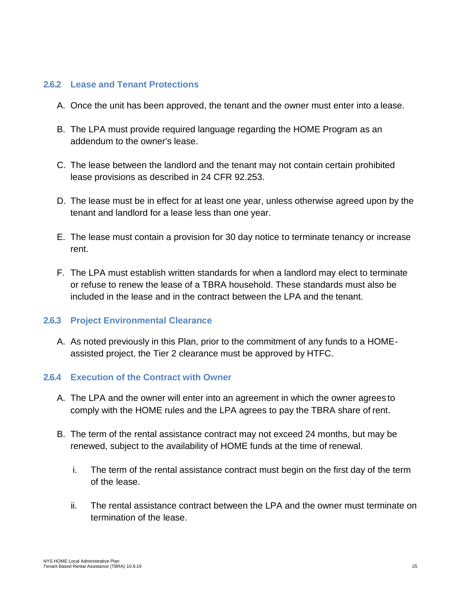#### <span id="page-24-0"></span>**2.6.2 Lease and Tenant Protections**

- A. Once the unit has been approved, the tenant and the owner must enter into a lease.
- B. The LPA must provide required language regarding the HOME Program as an addendum to the owner's lease.
- C. The lease between the landlord and the tenant may not contain certain prohibited lease provisions as described in 24 CFR 92.253.
- D. The lease must be in effect for at least one year, unless otherwise agreed upon by the tenant and landlord for a lease less than one year.
- E. The lease must contain a provision for 30 day notice to terminate tenancy or increase rent.
- F. The LPA must establish written standards for when a landlord may elect to terminate or refuse to renew the lease of a TBRA household. These standards must also be included in the lease and in the contract between the LPA and the tenant.

#### <span id="page-24-1"></span>**2.6.3 Project Environmental Clearance**

A. As noted previously in this Plan, prior to the commitment of any funds to a HOMEassisted project, the Tier 2 clearance must be approved by HTFC.

#### <span id="page-24-2"></span>**2.6.4 Execution of the Contract with Owner**

- A. The LPA and the owner will enter into an agreement in which the owner agrees to comply with the HOME rules and the LPA agrees to pay the TBRA share of rent.
- B. The term of the rental assistance contract may not exceed 24 months, but may be renewed, subject to the availability of HOME funds at the time of renewal.
	- i. The term of the rental assistance contract must begin on the first day of the term of the lease.
	- ii. The rental assistance contract between the LPA and the owner must terminate on termination of the lease.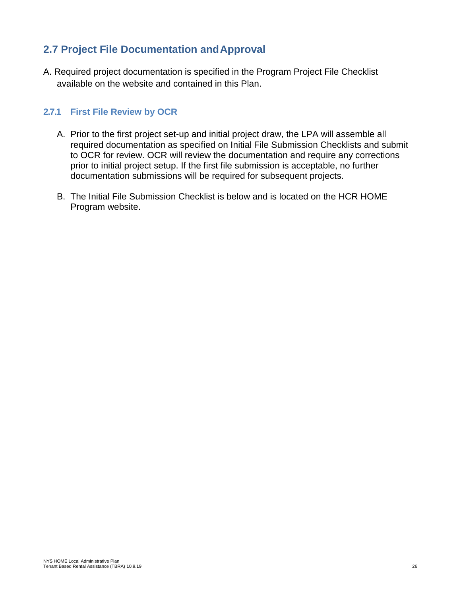# <span id="page-25-0"></span>**2.7 Project File Documentation andApproval**

A. Required project documentation is specified in the Program Project File Checklist available on the website and contained in this Plan.

### <span id="page-25-1"></span>**2.7.1 First File Review by OCR**

- A. Prior to the first project set-up and initial project draw, the LPA will assemble all required documentation as specified on Initial File Submission Checklists and submit to OCR for review. OCR will review the documentation and require any corrections prior to initial project setup. If the first file submission is acceptable, no further documentation submissions will be required for subsequent projects.
- B. The Initial File Submission Checklist is below and is located on the HCR HOME Program website.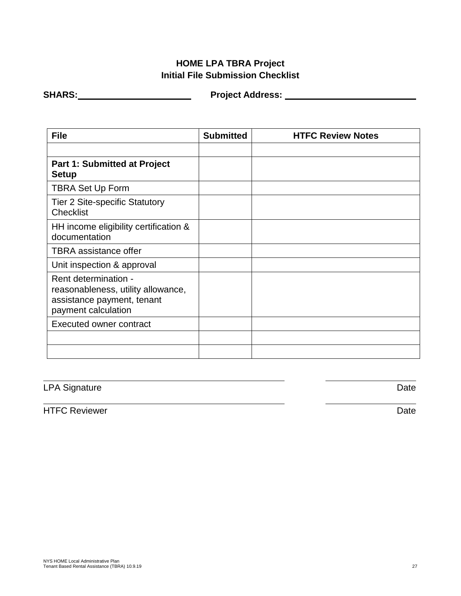## **HOME LPA TBRA Project Initial File Submission Checklist**

**SHARS: Project Address:**

| <b>File</b>                                                                                                     | <b>Submitted</b> | <b>HTFC Review Notes</b> |
|-----------------------------------------------------------------------------------------------------------------|------------------|--------------------------|
|                                                                                                                 |                  |                          |
| <b>Part 1: Submitted at Project</b><br><b>Setup</b>                                                             |                  |                          |
| <b>TBRA Set Up Form</b>                                                                                         |                  |                          |
| <b>Tier 2 Site-specific Statutory</b><br><b>Checklist</b>                                                       |                  |                          |
| HH income eligibility certification &<br>documentation                                                          |                  |                          |
| <b>TBRA</b> assistance offer                                                                                    |                  |                          |
| Unit inspection & approval                                                                                      |                  |                          |
| Rent determination -<br>reasonableness, utility allowance,<br>assistance payment, tenant<br>payment calculation |                  |                          |
| <b>Executed owner contract</b>                                                                                  |                  |                          |
|                                                                                                                 |                  |                          |
|                                                                                                                 |                  |                          |

LPA Signature Date

HTFC Reviewer Date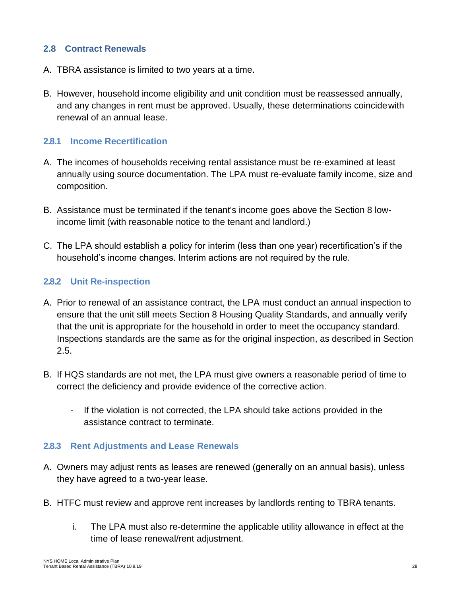### <span id="page-27-0"></span>**2.8 Contract Renewals**

- A. TBRA assistance is limited to two years at a time.
- B. However, household income eligibility and unit condition must be reassessed annually, and any changes in rent must be approved. Usually, these determinations coincidewith renewal of an annual lease.

#### <span id="page-27-1"></span>**2.8.1 Income Recertification**

- A. The incomes of households receiving rental assistance must be re-examined at least annually using source documentation. The LPA must re-evaluate family income, size and composition.
- B. Assistance must be terminated if the tenant's income goes above the Section 8 lowincome limit (with reasonable notice to the tenant and landlord.)
- C. The LPA should establish a policy for interim (less than one year) recertification's if the household's income changes. Interim actions are not required by the rule.

#### <span id="page-27-2"></span>**2.8.2 Unit Re-inspection**

- A. Prior to renewal of an assistance contract, the LPA must conduct an annual inspection to ensure that the unit still meets Section 8 Housing Quality Standards, and annually verify that the unit is appropriate for the household in order to meet the occupancy standard. Inspections standards are the same as for the original inspection, as described in Section 2.5.
- B. If HQS standards are not met, the LPA must give owners a reasonable period of time to correct the deficiency and provide evidence of the corrective action.
	- If the violation is not corrected, the LPA should take actions provided in the assistance contract to terminate.

#### <span id="page-27-3"></span>**2.8.3 Rent Adjustments and Lease Renewals**

- A. Owners may adjust rents as leases are renewed (generally on an annual basis), unless they have agreed to a two-year lease.
- B. HTFC must review and approve rent increases by landlords renting to TBRA tenants.
	- i. The LPA must also re-determine the applicable utility allowance in effect at the time of lease renewal/rent adjustment.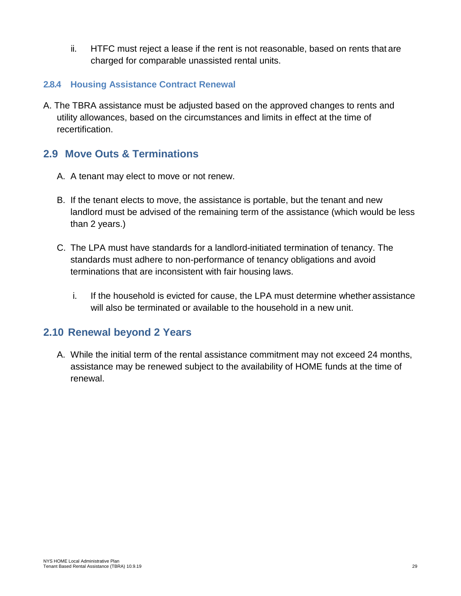ii. HTFC must reject a lease if the rent is not reasonable, based on rents that are charged for comparable unassisted rental units.

### <span id="page-28-0"></span>**2.8.4 Housing Assistance Contract Renewal**

A. The TBRA assistance must be adjusted based on the approved changes to rents and utility allowances, based on the circumstances and limits in effect at the time of recertification.

# <span id="page-28-1"></span>**2.9 Move Outs & Terminations**

- A. A tenant may elect to move or not renew.
- B. If the tenant elects to move, the assistance is portable, but the tenant and new landlord must be advised of the remaining term of the assistance (which would be less than 2 years.)
- C. The LPA must have standards for a landlord-initiated termination of tenancy. The standards must adhere to non-performance of tenancy obligations and avoid terminations that are inconsistent with fair housing laws.
	- i. If the household is evicted for cause, the LPA must determine whether assistance will also be terminated or available to the household in a new unit.

# <span id="page-28-2"></span>**2.10 Renewal beyond 2 Years**

A. While the initial term of the rental assistance commitment may not exceed 24 months, assistance may be renewed subject to the availability of HOME funds at the time of renewal.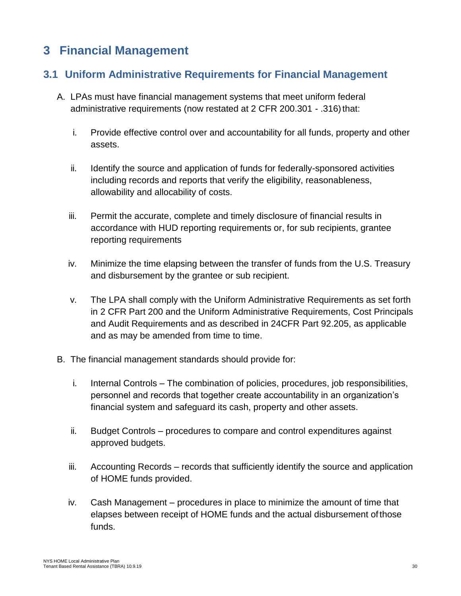# <span id="page-29-0"></span>**3 Financial Management**

# <span id="page-29-1"></span>**3.1 Uniform Administrative Requirements for Financial Management**

- A. LPAs must have financial management systems that meet uniform federal administrative requirements (now restated at 2 CFR 200.301 - .316) that:
	- i. Provide effective control over and accountability for all funds, property and other assets.
	- ii. Identify the source and application of funds for federally-sponsored activities including records and reports that verify the eligibility, reasonableness, allowability and allocability of costs.
	- iii. Permit the accurate, complete and timely disclosure of financial results in accordance with HUD reporting requirements or, for sub recipients, grantee reporting requirements
	- iv. Minimize the time elapsing between the transfer of funds from the U.S. Treasury and disbursement by the grantee or sub recipient.
	- v. The LPA shall comply with the Uniform Administrative Requirements as set forth in 2 CFR Part 200 and the Uniform Administrative Requirements, Cost Principals and Audit Requirements and as described in 24CFR Part 92.205, as applicable and as may be amended from time to time.
- B. The financial management standards should provide for:
	- i. Internal Controls The combination of policies, procedures, job responsibilities, personnel and records that together create accountability in an organization's financial system and safeguard its cash, property and other assets.
	- ii. Budget Controls procedures to compare and control expenditures against approved budgets.
	- iii. Accounting Records records that sufficiently identify the source and application of HOME funds provided.
	- iv. Cash Management procedures in place to minimize the amount of time that elapses between receipt of HOME funds and the actual disbursement of those funds.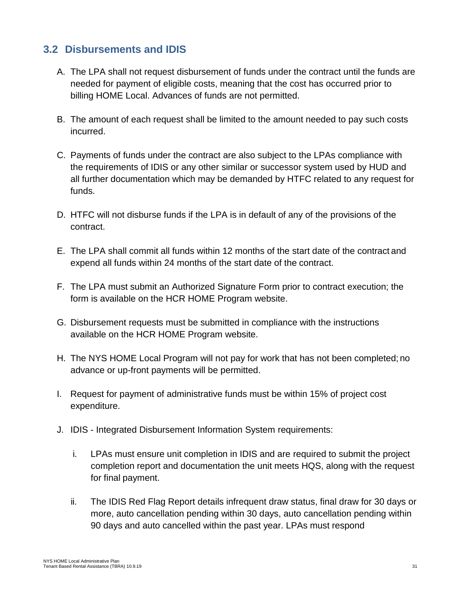## <span id="page-30-0"></span>**3.2 Disbursements and IDIS**

- A. The LPA shall not request disbursement of funds under the contract until the funds are needed for payment of eligible costs, meaning that the cost has occurred prior to billing HOME Local. Advances of funds are not permitted.
- B. The amount of each request shall be limited to the amount needed to pay such costs incurred.
- C. Payments of funds under the contract are also subject to the LPAs compliance with the requirements of IDIS or any other similar or successor system used by HUD and all further documentation which may be demanded by HTFC related to any request for funds.
- D. HTFC will not disburse funds if the LPA is in default of any of the provisions of the contract.
- E. The LPA shall commit all funds within 12 months of the start date of the contract and expend all funds within 24 months of the start date of the contract.
- F. The LPA must submit an Authorized Signature Form prior to contract execution; the form is available on the HCR HOME Program website.
- G. Disbursement requests must be submitted in compliance with the instructions available on the HCR HOME Program website.
- H. The NYS HOME Local Program will not pay for work that has not been completed; no advance or up-front payments will be permitted.
- I. Request for payment of administrative funds must be within 15% of project cost expenditure.
- J. IDIS Integrated Disbursement Information System requirements:
	- i. LPAs must ensure unit completion in IDIS and are required to submit the project completion report and documentation the unit meets HQS, along with the request for final payment.
	- ii. The IDIS Red Flag Report details infrequent draw status, final draw for 30 days or more, auto cancellation pending within 30 days, auto cancellation pending within 90 days and auto cancelled within the past year. LPAs must respond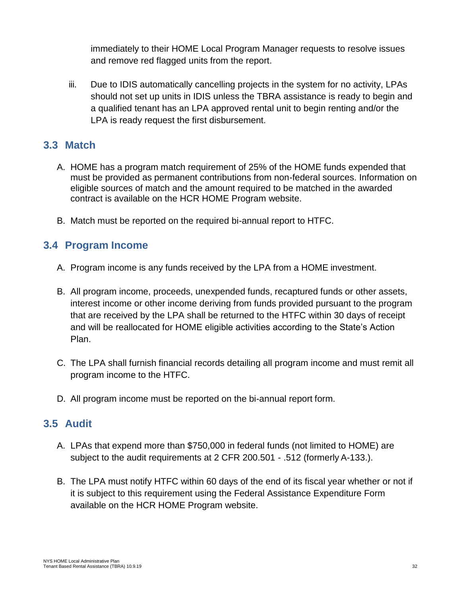immediately to their HOME Local Program Manager requests to resolve issues and remove red flagged units from the report.

iii. Due to IDIS automatically cancelling projects in the system for no activity, LPAs should not set up units in IDIS unless the TBRA assistance is ready to begin and a qualified tenant has an LPA approved rental unit to begin renting and/or the LPA is ready request the first disbursement.

## <span id="page-31-0"></span>**3.3 Match**

- A. HOME has a program match requirement of 25% of the HOME funds expended that must be provided as permanent contributions from non-federal sources. Information on eligible sources of match and the amount required to be matched in the awarded contract is available on the HCR HOME Program website.
- B. Match must be reported on the required bi-annual report to HTFC.

# <span id="page-31-1"></span>**3.4 Program Income**

- A. Program income is any funds received by the LPA from a HOME investment.
- B. All program income, proceeds, unexpended funds, recaptured funds or other assets, interest income or other income deriving from funds provided pursuant to the program that are received by the LPA shall be returned to the HTFC within 30 days of receipt and will be reallocated for HOME eligible activities according to the State's Action Plan.
- C. The LPA shall furnish financial records detailing all program income and must remit all program income to the HTFC.
- D. All program income must be reported on the bi-annual report form.

# <span id="page-31-2"></span>**3.5 Audit**

- A. LPAs that expend more than \$750,000 in federal funds (not limited to HOME) are subject to the audit requirements at 2 CFR 200.501 - .512 (formerly A-133.).
- B. The LPA must notify HTFC within 60 days of the end of its fiscal year whether or not if it is subject to this requirement using the Federal Assistance Expenditure Form available on the HCR HOME Program website.